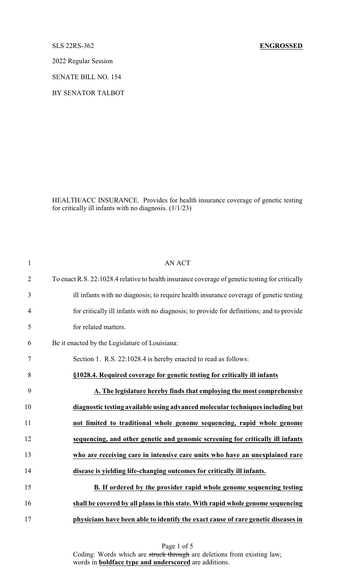2022 Regular Session

SENATE BILL NO. 154

BY SENATOR TALBOT

HEALTH/ACC INSURANCE. Provides for health insurance coverage of genetic testing for critically ill infants with no diagnosis. (1/1/23)

| $\mathbf{1}$   | <b>AN ACT</b>                                                                                   |
|----------------|-------------------------------------------------------------------------------------------------|
| $\overline{2}$ | To enact R.S. 22:1028.4 relative to health insurance coverage of genetic testing for critically |
| 3              | ill infants with no diagnosis; to require health insurance coverage of genetic testing          |
| $\overline{4}$ | for critically ill infants with no diagnosis; to provide for definitions; and to provide        |
| 5              | for related matters.                                                                            |
| 6              | Be it enacted by the Legislature of Louisiana:                                                  |
| 7              | Section 1. R.S. 22:1028.4 is hereby enacted to read as follows:                                 |
| 8              | §1028.4. Required coverage for genetic testing for critically ill infants                       |
| 9              | A. The legislature hereby finds that employing the most comprehensive                           |
| 10             | diagnostic testing available using advanced molecular techniques including but                  |
| 11             | not limited to traditional whole genome sequencing, rapid whole genome                          |
| 12             | sequencing, and other genetic and genomic screening for critically ill infants                  |
| 13             | who are receiving care in intensive care units who have an unexplained rare                     |
| 14             | disease is yielding life-changing outcomes for critically ill infants.                          |
| 15             | B. If ordered by the provider rapid whole genome sequencing testing                             |
| 16             | shall be covered by all plans in this state. With rapid whole genome sequencing                 |
| 17             | physicians have been able to identify the exact cause of rare genetic diseases in               |

Page 1 of 5 Coding: Words which are struck through are deletions from existing law; words in **boldface type and underscored** are additions.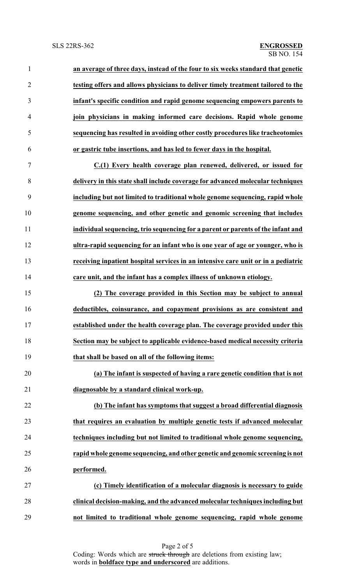| $\mathbf{1}$   | an average of three days, instead of the four to six weeks standard that genetic  |
|----------------|-----------------------------------------------------------------------------------|
| $\overline{2}$ | testing offers and allows physicians to deliver timely treatment tailored to the  |
| 3              | infant's specific condition and rapid genome sequencing empowers parents to       |
| 4              | join physicians in making informed care decisions. Rapid whole genome             |
| 5              | sequencing has resulted in avoiding other costly procedures like tracheotomies    |
| 6              | or gastric tube insertions, and has led to fewer days in the hospital.            |
| $\tau$         | C.(1) Every health coverage plan renewed, delivered, or issued for                |
| 8              | delivery in this state shall include coverage for advanced molecular techniques   |
| 9              | including but not limited to traditional whole genome sequencing, rapid whole     |
| 10             | genome sequencing, and other genetic and genomic screening that includes          |
| 11             | individual sequencing, trio sequencing for a parent or parents of the infant and  |
| 12             | ultra-rapid sequencing for an infant who is one year of age or younger, who is    |
| 13             | receiving inpatient hospital services in an intensive care unit or in a pediatric |
| 14             | care unit, and the infant has a complex illness of unknown etiology.              |
| 15             | (2) The coverage provided in this Section may be subject to annual                |
| 16             | deductibles, coinsurance, and copayment provisions as are consistent and          |

 **established under the health coverage plan. The coverage provided under this Section may be subject to applicable evidence-based medical necessity criteria that shall be based on all of the following items:**

 **(a) The infant is suspected of having a rare genetic condition that is not diagnosable by a standard clinical work-up.**

 **(b) The infant has symptoms that suggest a broad differential diagnosis that requires an evaluation by multiple genetic tests if advanced molecular techniques including but not limited to traditional whole genome sequencing, rapid whole genome sequencing, and other genetic and genomic screening is not performed.**

 **(c) Timely identification of a molecular diagnosis is necessary to guide clinical decision-making, and the advanced molecular techniques including but not limited to traditional whole genome sequencing, rapid whole genome**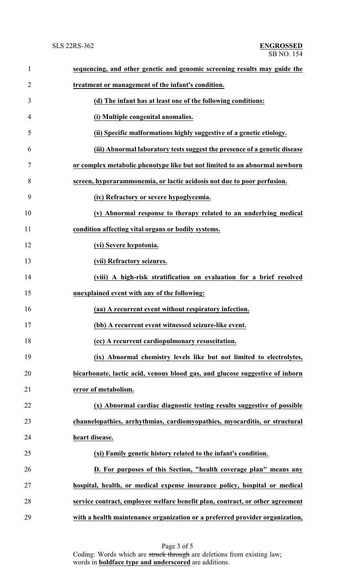| $\mathbf{1}$   | sequencing, and other genetic and genomic screening results may guide the     |
|----------------|-------------------------------------------------------------------------------|
| $\overline{2}$ | treatment or management of the infant's condition.                            |
| 3              | (d) The infant has at least one of the following conditions:                  |
| $\overline{4}$ | (i) Multiple congenital anomalies.                                            |
| 5              | (ii) Specific malformations highly suggestive of a genetic etiology.          |
| 6              | (iii) Abnormal laboratory tests suggest the presence of a genetic disease     |
| 7              | or complex metabolic phenotype like but not limited to an abnormal newborn    |
| 8              | screen, hyperarammonemia, or lactic acidosis not due to poor perfusion.       |
| 9              | (iv) Refractory or severe hypoglycemia.                                       |
| 10             | (v) Abnormal response to therapy related to an underlying medical             |
| 11             | condition affecting vital organs or bodily systems.                           |
| 12             | (vi) Severe hypotonia.                                                        |
| 13             | (vii) Refractory seizures.                                                    |
| 14             | (viii) A high-risk stratification on evaluation for a brief resolved          |
| 15             | unexplained event with any of the following:                                  |
| 16             | (aa) A recurrent event without respiratory infection.                         |
| 17             | (bb) A recurrent event witnessed seizure-like event.                          |
| 18             | (cc) A recurrent cardiopulmonary resuscitation.                               |
| 19             | (ix) Abnormal chemistry levels like but not limited to electrolytes,          |
| 20             | bicarbonate, lactic acid, venous blood gas, and glucose suggestive of inborn  |
| 21             | error of metabolism.                                                          |
| 22             | (x) Abnormal cardiac diagnostic testing results suggestive of possible        |
| 23             | channelopathies, arrhythmias, cardiomyopathies, myocarditis, or structural    |
| 24             | heart disease.                                                                |
| 25             | (xi) Family genetic history related to the infant's condition.                |
| 26             | D. For purposes of this Section, "health coverage plan" means any             |
| 27             | hospital, health, or medical expense insurance policy, hospital or medical    |
| 28             | service contract, employee welfare benefit plan, contract, or other agreement |
| 29             | with a health maintenance organization or a preferred provider organization,  |

Page 3 of 5 Coding: Words which are struck through are deletions from existing law; words in **boldface type and underscored** are additions.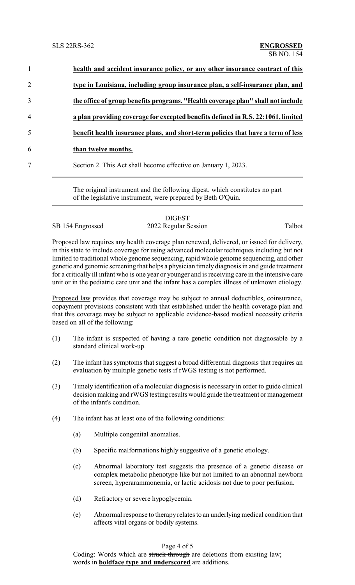| $\mathbf{1}$   | health and accident insurance policy, or any other insurance contract of this    |
|----------------|----------------------------------------------------------------------------------|
| $\overline{2}$ | type in Louisiana, including group insurance plan, a self-insurance plan, and    |
| 3              | the office of group benefits programs. "Health coverage plan" shall not include  |
| 4              | a plan providing coverage for excepted benefits defined in R.S. 22:1061, limited |
| 5              | benefit health insurance plans, and short-term policies that have a term of less |
| 6              | than twelve months.                                                              |
| 7              | Section 2. This Act shall become effective on January 1, 2023.                   |
|                |                                                                                  |

The original instrument and the following digest, which constitutes no part of the legislative instrument, were prepared by Beth O'Quin.

## DIGEST SB 154 Engrossed 2022 Regular Session Talbot

Proposed law requires any health coverage plan renewed, delivered, or issued for delivery, in this state to include coverage for using advanced molecular techniques including but not limited to traditional whole genome sequencing, rapid whole genome sequencing, and other genetic and genomic screening that helps a physician timely diagnosis in and guide treatment for a critically ill infant who is one year or younger and is receiving care in the intensive care unit or in the pediatric care unit and the infant has a complex illness of unknown etiology.

Proposed law provides that coverage may be subject to annual deductibles, coinsurance, copayment provisions consistent with that established under the health coverage plan and that this coverage may be subject to applicable evidence-based medical necessity criteria based on all of the following:

- (1) The infant is suspected of having a rare genetic condition not diagnosable by a standard clinical work-up.
- (2) The infant has symptoms that suggest a broad differential diagnosis that requires an evaluation by multiple genetic tests if rWGS testing is not performed.
- (3) Timely identification of a molecular diagnosis is necessary in order to guide clinical decision making and rWGS testing results would guide the treatment or management of the infant's condition.
- (4) The infant has at least one of the following conditions:
	- (a) Multiple congenital anomalies.
	- (b) Specific malformations highly suggestive of a genetic etiology.
	- (c) Abnormal laboratory test suggests the presence of a genetic disease or complex metabolic phenotype like but not limited to an abnormal newborn screen, hyperarammonemia, or lactic acidosis not due to poor perfusion.
	- (d) Refractory or severe hypoglycemia.
	- (e) Abnormal response to therapyrelates to an underlying medical condition that affects vital organs or bodily systems.

## Page 4 of 5

Coding: Words which are struck through are deletions from existing law; words in **boldface type and underscored** are additions.